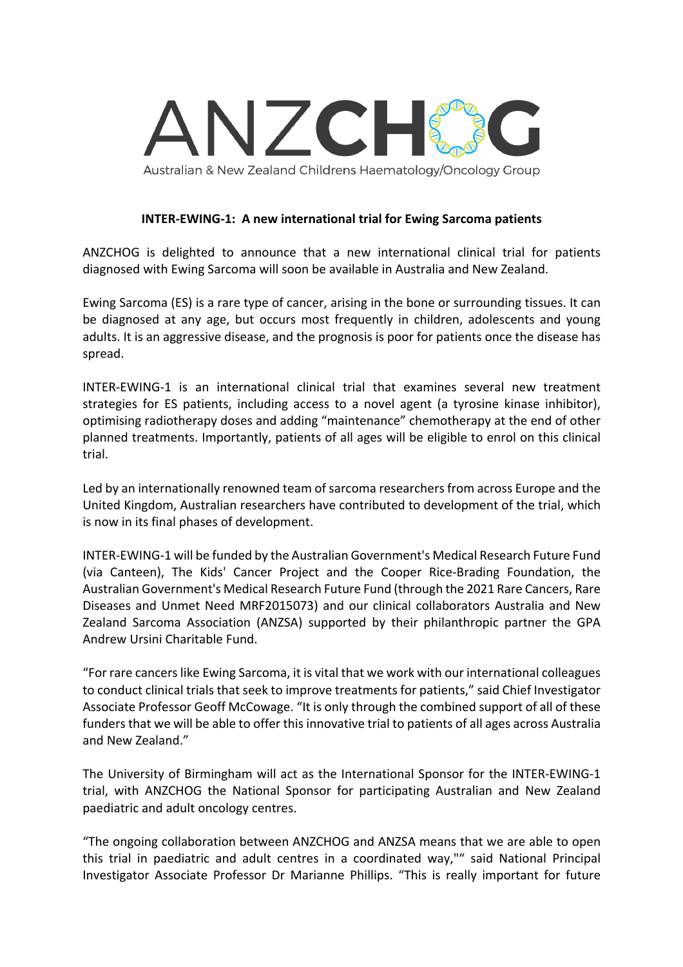

**INTER-EWING-1: A new international trial for Ewing Sarcoma patients**

ANZCHOG is delighted to announce that a new international clinical trial for patients diagnosed with Ewing Sarcoma will soon be available in Australia and New Zealand.

Ewing Sarcoma (ES) is a rare type of cancer, arising in the bone or surrounding tissues. It can be diagnosed at any age, but occurs most frequently in children, adolescents and young adults. It is an aggressive disease, and the prognosis is poor for patients once the disease has spread.

INTER-EWING-1 is an international clinical trial that examines several new treatment strategies for ES patients, including access to a novel agent (a tyrosine kinase inhibitor), optimising radiotherapy doses and adding "maintenance" chemotherapy at the end of other planned treatments. Importantly, patients of all ages will be eligible to enrol on this clinical trial.

Led by an internationally renowned team of sarcoma researchers from across Europe and the United Kingdom, Australian researchers have contributed to development of the trial, which is now in its final phases of development.

INTER-EWING-1 will be funded by the Australian Government's Medical Research Future Fund (via Canteen), The Kids' Cancer Project and the Cooper Rice-Brading Foundation, the Australian Government's Medical Research Future Fund (through the 2021 Rare Cancers, Rare Diseases and Unmet Need MRF2015073) and our clinical collaborators Australia and New Zealand Sarcoma Association (ANZSA) supported by their philanthropic partner the GPA Andrew Ursini Charitable Fund.

"For rare cancers like Ewing Sarcoma, it is vital that we work with our international colleagues to conduct clinical trials that seek to improve treatments for patients," said Chief Investigator Associate Professor Geoff McCowage. "It is only through the combined support of all of these funders that we will be able to offer this innovative trial to patients of all ages across Australia and New Zealand."

The University of Birmingham will act as the International Sponsor for the INTER-EWING-1 trial, with ANZCHOG the National Sponsor for participating Australian and New Zealand paediatric and adult oncology centres.

"The ongoing collaboration between ANZCHOG and ANZSA means that we are able to open this trial in paediatric and adult centres in a coordinated way,"" said National Principal Investigator Associate Professor Dr Marianne Phillips. "This is really important for future